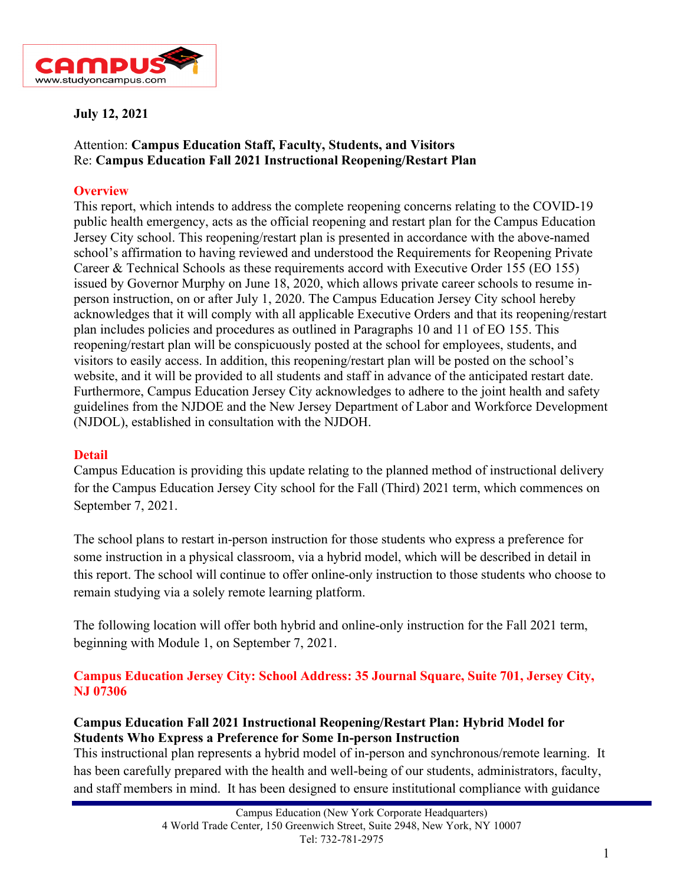

### **July 12, 2021**

## Attention: **Campus Education Staff, Faculty, Students, and Visitors** Re: **Campus Education Fall 2021 Instructional Reopening/Restart Plan**

### **Overview**

This report, which intends to address the complete reopening concerns relating to the COVID-19 public health emergency, acts as the official reopening and restart plan for the Campus Education Jersey City school. This reopening/restart plan is presented in accordance with the above-named school's affirmation to having reviewed and understood the Requirements for Reopening Private Career & Technical Schools as these requirements accord with Executive Order 155 (EO 155) issued by Governor Murphy on June 18, 2020, which allows private career schools to resume inperson instruction, on or after July 1, 2020. The Campus Education Jersey City school hereby acknowledges that it will comply with all applicable Executive Orders and that its reopening/restart plan includes policies and procedures as outlined in Paragraphs 10 and 11 of EO 155. This reopening/restart plan will be conspicuously posted at the school for employees, students, and visitors to easily access. In addition, this reopening/restart plan will be posted on the school's website, and it will be provided to all students and staff in advance of the anticipated restart date. Furthermore, Campus Education Jersey City acknowledges to adhere to the joint health and safety guidelines from the NJDOE and the New Jersey Department of Labor and Workforce Development (NJDOL), established in consultation with the NJDOH.

#### **Detail**

Campus Education is providing this update relating to the planned method of instructional delivery for the Campus Education Jersey City school for the Fall (Third) 2021 term, which commences on September 7, 2021.

The school plans to restart in-person instruction for those students who express a preference for some instruction in a physical classroom, via a hybrid model, which will be described in detail in this report. The school will continue to offer online-only instruction to those students who choose to remain studying via a solely remote learning platform.

The following location will offer both hybrid and online-only instruction for the Fall 2021 term, beginning with Module 1, on September 7, 2021.

### **Campus Education Jersey City: School Address: 35 Journal Square, Suite 701, Jersey City, NJ 07306**

## **Campus Education Fall 2021 Instructional Reopening/Restart Plan: Hybrid Model for Students Who Express a Preference for Some In-person Instruction**

This instructional plan represents a hybrid model of in-person and synchronous/remote learning. It has been carefully prepared with the health and well-being of our students, administrators, faculty, and staff members in mind. It has been designed to ensure institutional compliance with guidance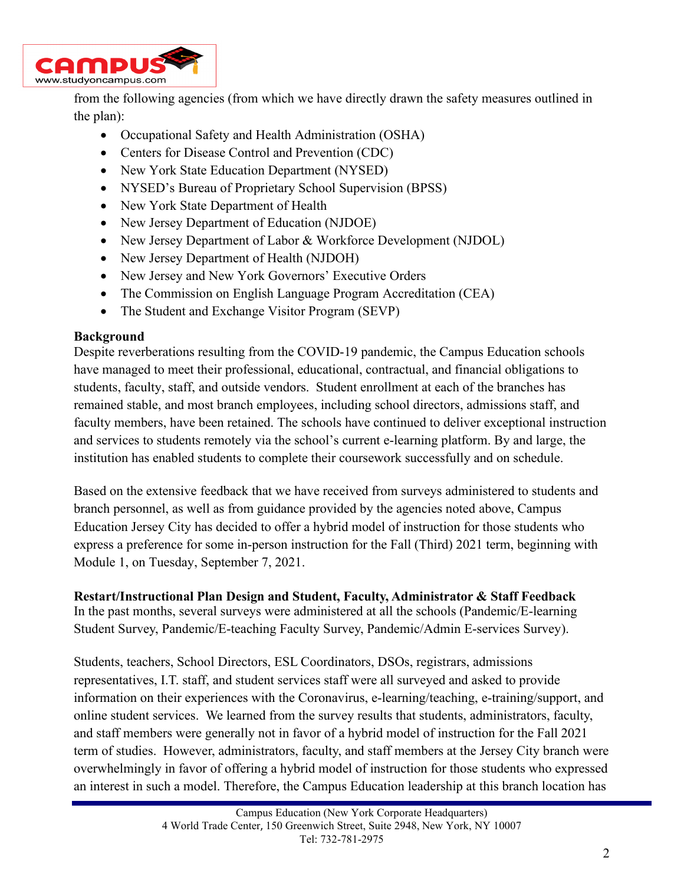

from the following agencies (from which we have directly drawn the safety measures outlined in the plan):

- Occupational Safety and Health Administration (OSHA)
- Centers for Disease Control and Prevention (CDC)
- New York State Education Department (NYSED)
- NYSED's Bureau of Proprietary School Supervision (BPSS)
- New York State Department of Health
- New Jersey Department of Education (NJDOE)
- New Jersey Department of Labor & Workforce Development (NJDOL)
- New Jersey Department of Health (NJDOH)
- New Jersey and New York Governors' Executive Orders
- The Commission on English Language Program Accreditation (CEA)
- The Student and Exchange Visitor Program (SEVP)

#### **Background**

Despite reverberations resulting from the COVID-19 pandemic, the Campus Education schools have managed to meet their professional, educational, contractual, and financial obligations to students, faculty, staff, and outside vendors. Student enrollment at each of the branches has remained stable, and most branch employees, including school directors, admissions staff, and faculty members, have been retained. The schools have continued to deliver exceptional instruction and services to students remotely via the school's current e-learning platform. By and large, the institution has enabled students to complete their coursework successfully and on schedule.

Based on the extensive feedback that we have received from surveys administered to students and branch personnel, as well as from guidance provided by the agencies noted above, Campus Education Jersey City has decided to offer a hybrid model of instruction for those students who express a preference for some in-person instruction for the Fall (Third) 2021 term, beginning with Module 1, on Tuesday, September 7, 2021.

## **Restart/Instructional Plan Design and Student, Faculty, Administrator & Staff Feedback**

In the past months, several surveys were administered at all the schools (Pandemic/E-learning Student Survey, Pandemic/E-teaching Faculty Survey, Pandemic/Admin E-services Survey).

Students, teachers, School Directors, ESL Coordinators, DSOs, registrars, admissions representatives, I.T. staff, and student services staff were all surveyed and asked to provide information on their experiences with the Coronavirus, e-learning/teaching, e-training/support, and online student services. We learned from the survey results that students, administrators, faculty, and staff members were generally not in favor of a hybrid model of instruction for the Fall 2021 term of studies. However, administrators, faculty, and staff members at the Jersey City branch were overwhelmingly in favor of offering a hybrid model of instruction for those students who expressed an interest in such a model. Therefore, the Campus Education leadership at this branch location has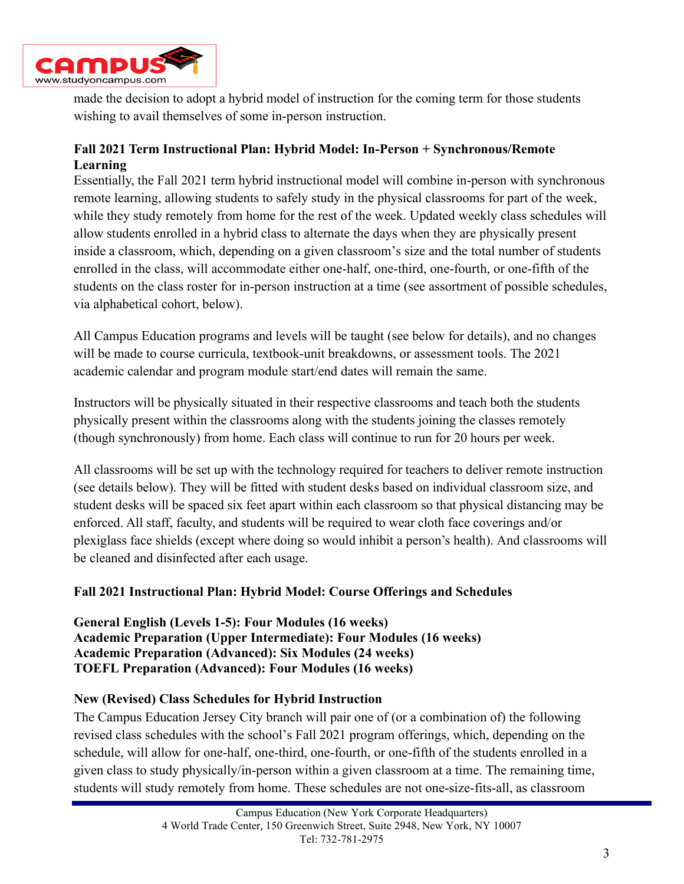

made the decision to adopt a hybrid model of instruction for the coming term for those students wishing to avail themselves of some in-person instruction.

## **Fall 2021 Term Instructional Plan: Hybrid Model: In-Person + Synchronous/Remote Learning**

Essentially, the Fall 2021 term hybrid instructional model will combine in-person with synchronous remote learning, allowing students to safely study in the physical classrooms for part of the week, while they study remotely from home for the rest of the week. Updated weekly class schedules will allow students enrolled in a hybrid class to alternate the days when they are physically present inside a classroom, which, depending on a given classroom's size and the total number of students enrolled in the class, will accommodate either one-half, one-third, one-fourth, or one-fifth of the students on the class roster for in-person instruction at a time (see assortment of possible schedules, via alphabetical cohort, below).

All Campus Education programs and levels will be taught (see below for details), and no changes will be made to course curricula, textbook-unit breakdowns, or assessment tools. The 2021 academic calendar and program module start/end dates will remain the same.

Instructors will be physically situated in their respective classrooms and teach both the students physically present within the classrooms along with the students joining the classes remotely (though synchronously) from home. Each class will continue to run for 20 hours per week.

All classrooms will be set up with the technology required for teachers to deliver remote instruction (see details below). They will be fitted with student desks based on individual classroom size, and student desks will be spaced six feet apart within each classroom so that physical distancing may be enforced. All staff, faculty, and students will be required to wear cloth face coverings and/or plexiglass face shields (except where doing so would inhibit a person's health). And classrooms will be cleaned and disinfected after each usage.

## **Fall 2021 Instructional Plan: Hybrid Model: Course Offerings and Schedules**

**General English (Levels 1-5): Four Modules (16 weeks) Academic Preparation (Upper Intermediate): Four Modules (16 weeks) Academic Preparation (Advanced): Six Modules (24 weeks) TOEFL Preparation (Advanced): Four Modules (16 weeks)**

#### **New (Revised) Class Schedules for Hybrid Instruction**

The Campus Education Jersey City branch will pair one of (or a combination of) the following revised class schedules with the school's Fall 2021 program offerings, which, depending on the schedule, will allow for one-half, one-third, one-fourth, or one-fifth of the students enrolled in a given class to study physically/in-person within a given classroom at a time. The remaining time, students will study remotely from home. These schedules are not one-size-fits-all, as classroom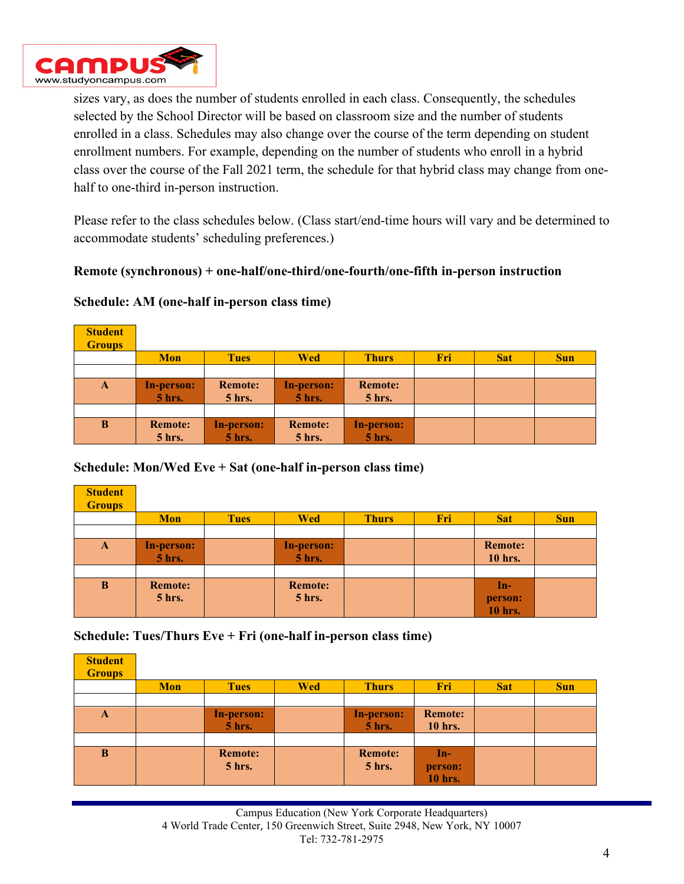

sizes vary, as does the number of students enrolled in each class. Consequently, the schedules selected by the School Director will be based on classroom size and the number of students enrolled in a class. Schedules may also change over the course of the term depending on student enrollment numbers. For example, depending on the number of students who enroll in a hybrid class over the course of the Fall 2021 term, the schedule for that hybrid class may change from onehalf to one-third in-person instruction.

Please refer to the class schedules below. (Class start/end-time hours will vary and be determined to accommodate students' scheduling preferences.)

#### **Remote (synchronous) + one-half/one-third/one-fourth/one-fifth in-person instruction**

**Schedule: AM (one-half in-person class time)**

| <b>Student</b><br><b>Groups</b> |                                    |                            |                                    |                            |     |            |            |
|---------------------------------|------------------------------------|----------------------------|------------------------------------|----------------------------|-----|------------|------------|
|                                 | <b>Mon</b>                         | <b>Tues</b>                | <b>Wed</b>                         | <b>Thurs</b>               | Fri | <b>Sat</b> | <b>Sun</b> |
|                                 |                                    |                            |                                    |                            |     |            |            |
| A                               | <b>In-person:</b><br><b>5 hrs.</b> | <b>Remote:</b><br>$5$ hrs. | <b>In-person:</b><br><b>5 hrs.</b> | <b>Remote:</b><br>$5$ hrs. |     |            |            |
|                                 |                                    |                            |                                    |                            |     |            |            |
| B                               | <b>Remote:</b>                     | In-person:                 | <b>Remote:</b>                     | <b>In-person:</b>          |     |            |            |
|                                 | <b>5 hrs.</b>                      | <b>5 hrs.</b>              | <b>5 hrs.</b>                      | <b>5 hrs.</b>              |     |            |            |

#### **Schedule: Mon/Wed Eve + Sat (one-half in-person class time)**

| <b>Student</b><br><b>Groups</b> |                   |             |                |              |     |                |            |
|---------------------------------|-------------------|-------------|----------------|--------------|-----|----------------|------------|
|                                 | <b>Mon</b>        | <b>Tues</b> | <b>Wed</b>     | <b>Thurs</b> | Fri | <b>Sat</b>     | <b>Sun</b> |
|                                 |                   |             |                |              |     |                |            |
| A                               | <b>In-person:</b> |             | In-person:     |              |     | <b>Remote:</b> |            |
|                                 | <b>5 hrs.</b>     |             | <b>5 hrs.</b>  |              |     | 10 hrs.        |            |
|                                 |                   |             |                |              |     |                |            |
| B                               | <b>Remote:</b>    |             | <b>Remote:</b> |              |     | In-            |            |
|                                 | <b>5 hrs.</b>     |             | $5$ hrs.       |              |     | person:        |            |
|                                 |                   |             |                |              |     | 10 hrs.        |            |

**Schedule: Tues/Thurs Eve + Fri (one-half in-person class time)**

| <b>Student</b><br><b>Groups</b> |            |                             |            |                                 |                                  |            |            |
|---------------------------------|------------|-----------------------------|------------|---------------------------------|----------------------------------|------------|------------|
|                                 | <b>Mon</b> | <b>Tues</b>                 | <b>Wed</b> | <b>Thurs</b>                    | Fri                              | <b>Sat</b> | <b>Sun</b> |
|                                 |            |                             |            |                                 |                                  |            |            |
| A                               |            | In-person:<br><b>5 hrs.</b> |            | In-person:<br><b>5 hrs.</b>     | <b>Remote:</b><br><b>10 hrs.</b> |            |            |
|                                 |            |                             |            |                                 |                                  |            |            |
| B                               |            | <b>Remote:</b><br>5 hrs.    |            | <b>Remote:</b><br><b>5 hrs.</b> | $In-$                            |            |            |
|                                 |            |                             |            |                                 | person:<br><b>10 hrs.</b>        |            |            |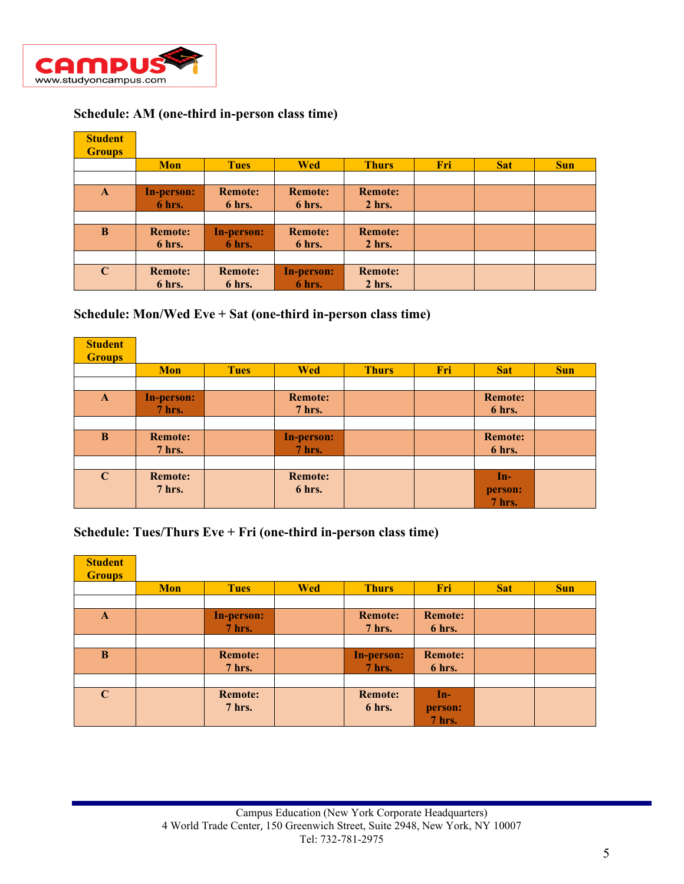

## **Schedule: AM (one-third in-person class time)**

| <b>Student</b> |                   |                |                   |                |     |            |            |
|----------------|-------------------|----------------|-------------------|----------------|-----|------------|------------|
| <b>Groups</b>  |                   |                |                   |                |     |            |            |
|                | <b>Mon</b>        | <b>Tues</b>    | <b>Wed</b>        | <b>Thurs</b>   | Fri | <b>Sat</b> | <b>Sun</b> |
|                |                   |                |                   |                |     |            |            |
| $\mathbf{A}$   | <b>In-person:</b> | <b>Remote:</b> | <b>Remote:</b>    | <b>Remote:</b> |     |            |            |
|                | 6 hrs.            | 6 hrs.         | 6 hrs.            | $2$ hrs.       |     |            |            |
|                |                   |                |                   |                |     |            |            |
| $\bf{B}$       | <b>Remote:</b>    | In-person:     | <b>Remote:</b>    | <b>Remote:</b> |     |            |            |
|                | 6 hrs.            | 6 hrs.         | 6 hrs.            | $2$ hrs.       |     |            |            |
|                |                   |                |                   |                |     |            |            |
| $\mathbf C$    | <b>Remote:</b>    | <b>Remote:</b> | <b>In-person:</b> | <b>Remote:</b> |     |            |            |
|                | 6 hrs.            | 6 hrs.         | 6 hrs.            | $2$ hrs.       |     |            |            |

#### **Schedule: Mon/Wed Eve + Sat (one-third in-person class time)**

| <b>Student</b><br><b>Groups</b> |                                 |             |                                 |              |     |                            |            |
|---------------------------------|---------------------------------|-------------|---------------------------------|--------------|-----|----------------------------|------------|
|                                 | <b>Mon</b>                      | <b>Tues</b> | <b>Wed</b>                      | <b>Thurs</b> | Fri | <b>Sat</b>                 | <b>Sun</b> |
|                                 |                                 |             |                                 |              |     |                            |            |
| $\mathbf{A}$                    | In-person:<br><b>7 hrs.</b>     |             | <b>Remote:</b><br><b>7 hrs.</b> |              |     | <b>Remote:</b><br>6 hrs.   |            |
|                                 |                                 |             |                                 |              |     |                            |            |
| B                               | <b>Remote:</b><br><b>7 hrs.</b> |             | <b>In-person:</b><br>7 hrs.     |              |     | <b>Remote:</b><br>6 hrs.   |            |
|                                 |                                 |             |                                 |              |     |                            |            |
| $\mathbf C$                     | <b>Remote:</b><br><b>7 hrs.</b> |             | <b>Remote:</b><br>6 hrs.        |              |     | $In-$<br>person:<br>7 hrs. |            |

# **Schedule: Tues/Thurs Eve + Fri (one-third in-person class time)**

| <b>Student</b><br><b>Groups</b> |            |                                 |            |                                 |                                  |            |            |
|---------------------------------|------------|---------------------------------|------------|---------------------------------|----------------------------------|------------|------------|
|                                 | <b>Mon</b> | <b>Tues</b>                     | <b>Wed</b> | <b>Thurs</b>                    | Fri                              | <b>Sat</b> | <b>Sun</b> |
|                                 |            |                                 |            |                                 |                                  |            |            |
| $\mathbf{A}$                    |            | In-person:<br>$7$ hrs.          |            | <b>Remote:</b><br><b>7 hrs.</b> | <b>Remote:</b><br>6 hrs.         |            |            |
|                                 |            |                                 |            |                                 |                                  |            |            |
| B                               |            | <b>Remote:</b><br><b>7 hrs.</b> |            | <b>In-person:</b><br>$7$ hrs.   | <b>Remote:</b><br>6 hrs.         |            |            |
|                                 |            |                                 |            |                                 |                                  |            |            |
| $\mathbf C$                     |            | <b>Remote:</b><br><b>7 hrs.</b> |            | <b>Remote:</b><br>6 hrs.        | <b>An-7</b><br>person:<br>7 hrs. |            |            |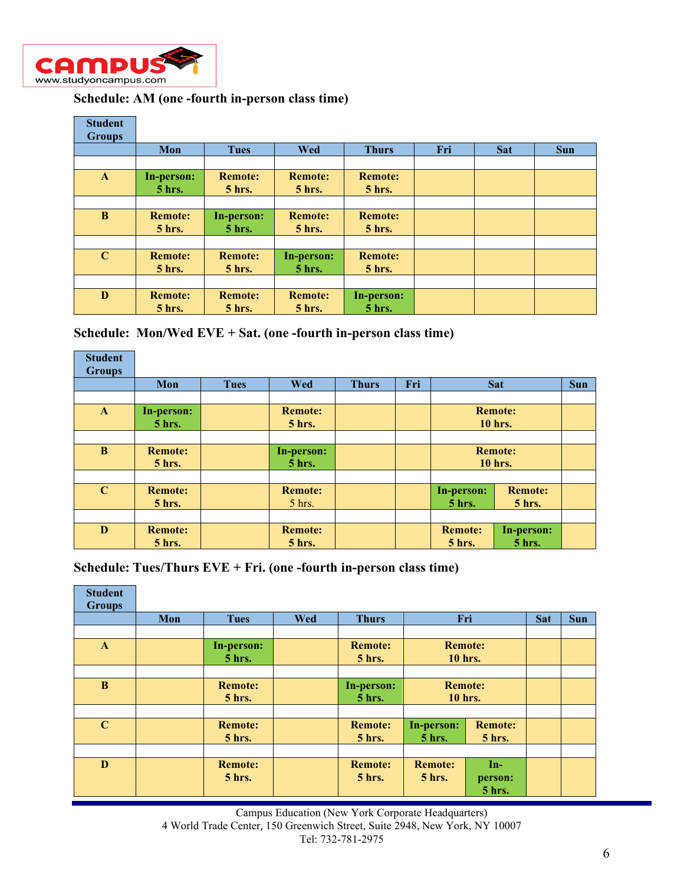

## **Schedule: AM (one -fourth in-person class time)**

| <b>Student</b><br><b>Groups</b> |                                 |                                 |                                 |                                 |     |            |            |
|---------------------------------|---------------------------------|---------------------------------|---------------------------------|---------------------------------|-----|------------|------------|
|                                 | Mon                             | <b>Tues</b>                     | <b>Wed</b>                      | <b>Thurs</b>                    | Fri | <b>Sat</b> | <b>Sun</b> |
|                                 |                                 |                                 |                                 |                                 |     |            |            |
| $\mathbf{A}$                    | In-person:<br><b>5 hrs.</b>     | <b>Remote:</b><br><b>5 hrs.</b> | <b>Remote:</b><br><b>5 hrs.</b> | <b>Remote:</b><br><b>5 hrs.</b> |     |            |            |
|                                 |                                 |                                 |                                 |                                 |     |            |            |
| B                               | <b>Remote:</b><br>$5$ hrs.      | In-person:<br>$5$ hrs.          | <b>Remote:</b><br>$5$ hrs.      | <b>Remote:</b><br>$5$ hrs.      |     |            |            |
|                                 |                                 |                                 |                                 |                                 |     |            |            |
| $\mathbf C$                     | <b>Remote:</b><br><b>5 hrs.</b> | <b>Remote:</b><br>$5$ hrs.      | In-person:<br><b>5 hrs.</b>     | <b>Remote:</b><br>$5$ hrs.      |     |            |            |
|                                 |                                 |                                 |                                 |                                 |     |            |            |
| D                               | <b>Remote:</b><br>$5$ hrs.      | <b>Remote:</b><br>$5$ hrs.      | <b>Remote:</b><br>$5$ hrs.      | In-person:<br>$5$ hrs.          |     |            |            |

**Schedule: Mon/Wed EVE + Sat. (one -fourth in-person class time)**

| <b>Student</b> |                |             |                |              |     |                |                |  |  |
|----------------|----------------|-------------|----------------|--------------|-----|----------------|----------------|--|--|
| <b>Groups</b>  |                |             |                |              |     |                |                |  |  |
|                | Mon            | <b>Tues</b> | Wed            | <b>Thurs</b> | Fri |                | <b>Sat</b>     |  |  |
|                |                |             |                |              |     |                |                |  |  |
| $\mathbf{A}$   | In-person:     |             | <b>Remote:</b> |              |     | <b>Remote:</b> |                |  |  |
|                | $5$ hrs.       |             | $5$ hrs.       |              |     | <b>10 hrs.</b> |                |  |  |
|                |                |             |                |              |     |                |                |  |  |
| B              | <b>Remote:</b> |             | In-person:     |              |     | <b>Remote:</b> |                |  |  |
|                | $5$ hrs.       |             | <b>5 hrs.</b>  |              |     | <b>10 hrs.</b> |                |  |  |
|                |                |             |                |              |     |                |                |  |  |
| $\mathbf C$    | <b>Remote:</b> |             | <b>Remote:</b> |              |     | In-person:     | <b>Remote:</b> |  |  |
|                | $5$ hrs.       |             | $5$ hrs.       |              |     | <b>5 hrs.</b>  | $5$ hrs.       |  |  |
|                |                |             |                |              |     |                |                |  |  |
| D              | <b>Remote:</b> |             | <b>Remote:</b> |              |     | <b>Remote:</b> | In-person:     |  |  |
|                | $5$ hrs.       |             | $5$ hrs.       |              |     | 5 hrs.         | $5$ hrs.       |  |  |

**Schedule: Tues/Thurs EVE + Fri. (one -fourth in-person class time)**

| <b>Student</b><br><b>Groups</b> |     |                                 |            |                                 |                            |                                   |  |            |
|---------------------------------|-----|---------------------------------|------------|---------------------------------|----------------------------|-----------------------------------|--|------------|
|                                 | Mon | <b>Tues</b>                     | <b>Wed</b> | <b>Thurs</b>                    |                            | Fri                               |  | <b>Sun</b> |
|                                 |     |                                 |            |                                 |                            |                                   |  |            |
| $\mathbf{A}$                    |     | In-person:<br>$5$ hrs.          |            | <b>Remote:</b><br>$5$ hrs.      | <b>Remote:</b><br>10 hrs.  |                                   |  |            |
|                                 |     |                                 |            |                                 |                            |                                   |  |            |
| $\bf{B}$                        |     | <b>Remote:</b><br><b>5 hrs.</b> |            | In-person:<br><b>5 hrs.</b>     | <b>Remote:</b><br>10 hrs.  |                                   |  |            |
|                                 |     |                                 |            |                                 |                            |                                   |  |            |
| $\mathbf C$                     |     | <b>Remote:</b><br><b>5 hrs.</b> |            | <b>Remote:</b><br>$5$ hrs.      | In-person:<br>5 hrs.       | <b>Remote:</b><br>$5$ hrs.        |  |            |
|                                 |     |                                 |            |                                 |                            |                                   |  |            |
| D                               |     | <b>Remote:</b><br><b>5 hrs.</b> |            | <b>Remote:</b><br><b>5 hrs.</b> | <b>Remote:</b><br>$5$ hrs. | $In-$<br>person:<br><b>5 hrs.</b> |  |            |

Campus Education (New York Corporate Headquarters) 4 World Trade Center, 150 Greenwich Street, Suite 2948, New York, NY 10007 Tel: 732-781-2975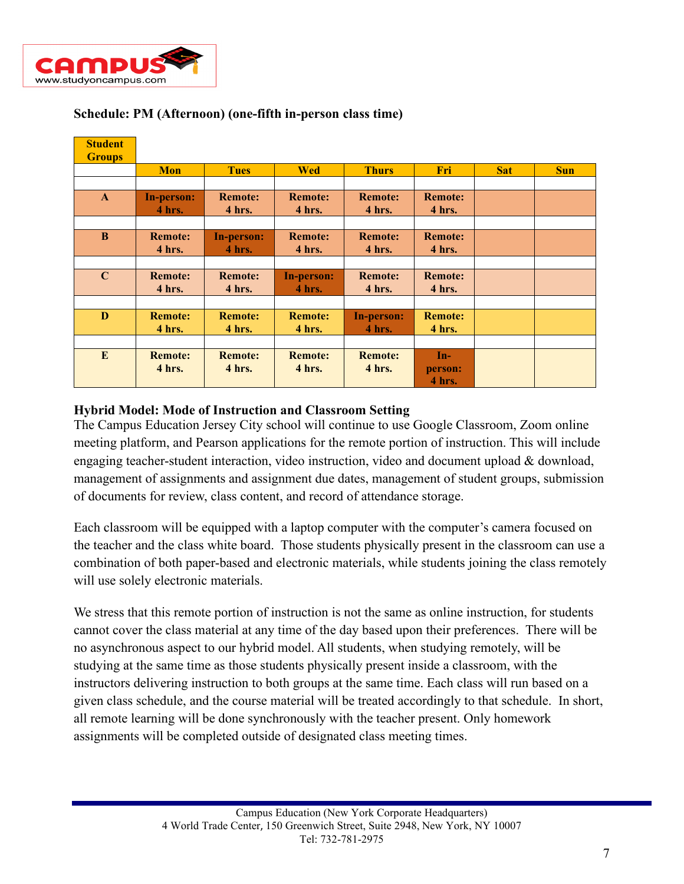

| <b>Student</b><br><b>Groups</b> |                          |                          |                          |                          |                            |            |            |
|---------------------------------|--------------------------|--------------------------|--------------------------|--------------------------|----------------------------|------------|------------|
|                                 | <b>Mon</b>               | <b>Tues</b>              | <b>Wed</b>               | <b>Thurs</b>             | Fri                        | <b>Sat</b> | <b>Sun</b> |
|                                 |                          |                          |                          |                          |                            |            |            |
| $\mathbf{A}$                    | In-person:<br>4 hrs.     | <b>Remote:</b><br>4 hrs. | <b>Remote:</b><br>4 hrs. | <b>Remote:</b><br>4 hrs. | <b>Remote:</b><br>4 hrs.   |            |            |
|                                 |                          |                          |                          |                          |                            |            |            |
| B                               | <b>Remote:</b><br>4 hrs. | In-person:<br>4 hrs.     | <b>Remote:</b><br>4 hrs. | <b>Remote:</b><br>4 hrs. | <b>Remote:</b><br>4 hrs.   |            |            |
|                                 |                          |                          |                          |                          |                            |            |            |
| $\mathbf C$                     | <b>Remote:</b><br>4 hrs. | <b>Remote:</b><br>4 hrs. | In-person:<br>4 hrs.     | <b>Remote:</b><br>4 hrs. | <b>Remote:</b><br>4 hrs.   |            |            |
|                                 |                          |                          |                          |                          |                            |            |            |
| D                               | <b>Remote:</b><br>4 hrs. | <b>Remote:</b><br>4 hrs. | <b>Remote:</b><br>4 hrs. | In-person:<br>4 hrs.     | <b>Remote:</b><br>4 hrs.   |            |            |
|                                 |                          |                          |                          |                          |                            |            |            |
| E                               | <b>Remote:</b><br>4 hrs. | <b>Remote:</b><br>4 hrs. | <b>Remote:</b><br>4 hrs. | <b>Remote:</b><br>4 hrs. | $In-$<br>person:<br>4 hrs. |            |            |

## **Schedule: PM (Afternoon) (one-fifth in-person class time)**

#### **Hybrid Model: Mode of Instruction and Classroom Setting**

The Campus Education Jersey City school will continue to use Google Classroom, Zoom online meeting platform, and Pearson applications for the remote portion of instruction. This will include engaging teacher-student interaction, video instruction, video and document upload & download, management of assignments and assignment due dates, management of student groups, submission of documents for review, class content, and record of attendance storage.

Each classroom will be equipped with a laptop computer with the computer's camera focused on the teacher and the class white board. Those students physically present in the classroom can use a combination of both paper-based and electronic materials, while students joining the class remotely will use solely electronic materials.

We stress that this remote portion of instruction is not the same as online instruction, for students cannot cover the class material at any time of the day based upon their preferences. There will be no asynchronous aspect to our hybrid model. All students, when studying remotely, will be studying at the same time as those students physically present inside a classroom, with the instructors delivering instruction to both groups at the same time. Each class will run based on a given class schedule, and the course material will be treated accordingly to that schedule. In short, all remote learning will be done synchronously with the teacher present. Only homework assignments will be completed outside of designated class meeting times.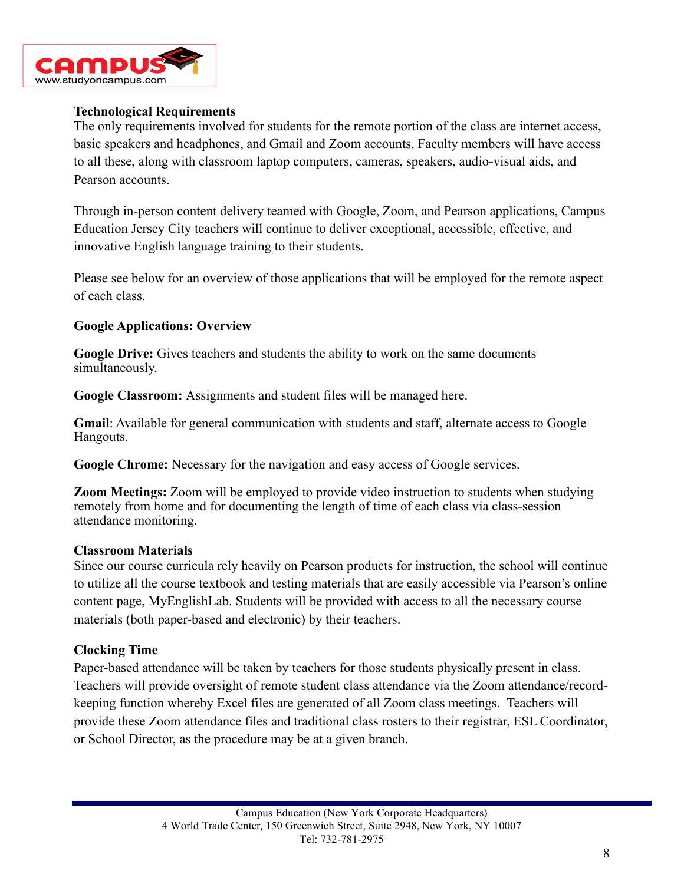

### **Technological Requirements**

The only requirements involved for students for the remote portion of the class are internet access, basic speakers and headphones, and Gmail and Zoom accounts. Faculty members will have access to all these, along with classroom laptop computers, cameras, speakers, audio-visual aids, and Pearson accounts.

Through in-person content delivery teamed with Google, Zoom, and Pearson applications, Campus Education Jersey City teachers will continue to deliver exceptional, accessible, effective, and innovative English language training to their students.

Please see below for an overview of those applications that will be employed for the remote aspect of each class.

### **Google Applications: Overview**

**Google Drive:** Gives teachers and students the ability to work on the same documents simultaneously.

**Google Classroom:** Assignments and student files will be managed here.

**Gmail**: Available for general communication with students and staff, alternate access to Google Hangouts.

**Google Chrome:** Necessary for the navigation and easy access of Google services.

**Zoom Meetings:** Zoom will be employed to provide video instruction to students when studying remotely from home and for documenting the length of time of each class via class-session attendance monitoring.

#### **Classroom Materials**

Since our course curricula rely heavily on Pearson products for instruction, the school will continue to utilize all the course textbook and testing materials that are easily accessible via Pearson's online content page, MyEnglishLab. Students will be provided with access to all the necessary course materials (both paper-based and electronic) by their teachers.

#### **Clocking Time**

Paper-based attendance will be taken by teachers for those students physically present in class. Teachers will provide oversight of remote student class attendance via the Zoom attendance/recordkeeping function whereby Excel files are generated of all Zoom class meetings. Teachers will provide these Zoom attendance files and traditional class rosters to their registrar, ESL Coordinator, or School Director, as the procedure may be at a given branch.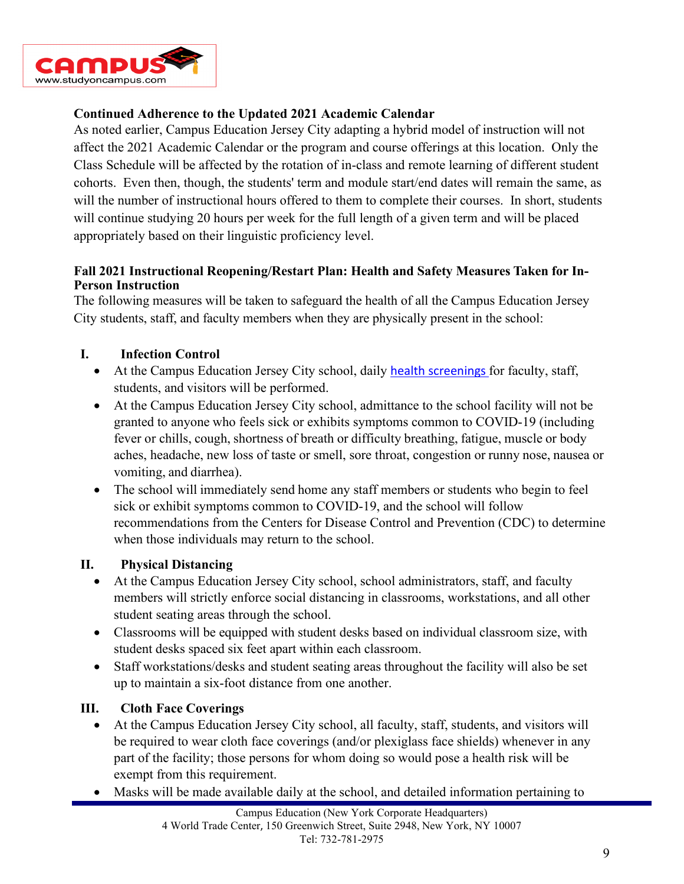

## **Continued Adherence to the Updated 2021 Academic Calendar**

As noted earlier, Campus Education Jersey City adapting a hybrid model of instruction will not affect the 2021 Academic Calendar or the program and course offerings at this location. Only the Class Schedule will be affected by the rotation of in-class and remote learning of different student cohorts. Even then, though, the students' term and module start/end dates will remain the same, as will the number of instructional hours offered to them to complete their courses. In short, students will continue studying 20 hours per week for the full length of a given term and will be placed appropriately based on their linguistic proficiency level.

### **Fall 2021 Instructional Reopening/Restart Plan: Health and Safety Measures Taken for In-Person Instruction**

The following measures will be taken to safeguard the health of all the Campus Education Jersey City students, staff, and faculty members when they are physically present in the school:

### **I. Infection Control**

- At the Campus Education Jersey City school, daily [health screenings](https://www.cdc.gov/coronavirus/2019-ncov/community/guidance-business-response.html) for faculty, staff, students, and visitors will be performed.
- At the Campus Education Jersey City school, admittance to the school facility will not be granted to anyone who feels sick or exhibits symptoms common to COVID-19 (including fever or chills, cough, shortness of breath or difficulty breathing, fatigue, muscle or body aches, headache, new loss of taste or smell, sore throat, congestion or runny nose, nausea or vomiting, and diarrhea).
- The school will immediately send home any staff members or students who begin to feel sick or exhibit symptoms common to COVID-19, and the school will follow recommendations from the Centers for Disease Control and Prevention (CDC) to determine when those individuals may return to the school.

#### **II. Physical Distancing**

- At the Campus Education Jersey City school, school administrators, staff, and faculty members will strictly enforce social distancing in classrooms, workstations, and all other student seating areas through the school.
- Classrooms will be equipped with student desks based on individual classroom size, with student desks spaced six feet apart within each classroom.
- Staff workstations/desks and student seating areas throughout the facility will also be set up to maintain a six-foot distance from one another.

## **III. Cloth Face Coverings**

- At the Campus Education Jersey City school, all faculty, staff, students, and visitors will be required to wear cloth face coverings (and/or plexiglass face shields) whenever in any part of the facility; those persons for whom doing so would pose a health risk will be exempt from this requirement.
- Masks will be made available daily at the school, and detailed information pertaining to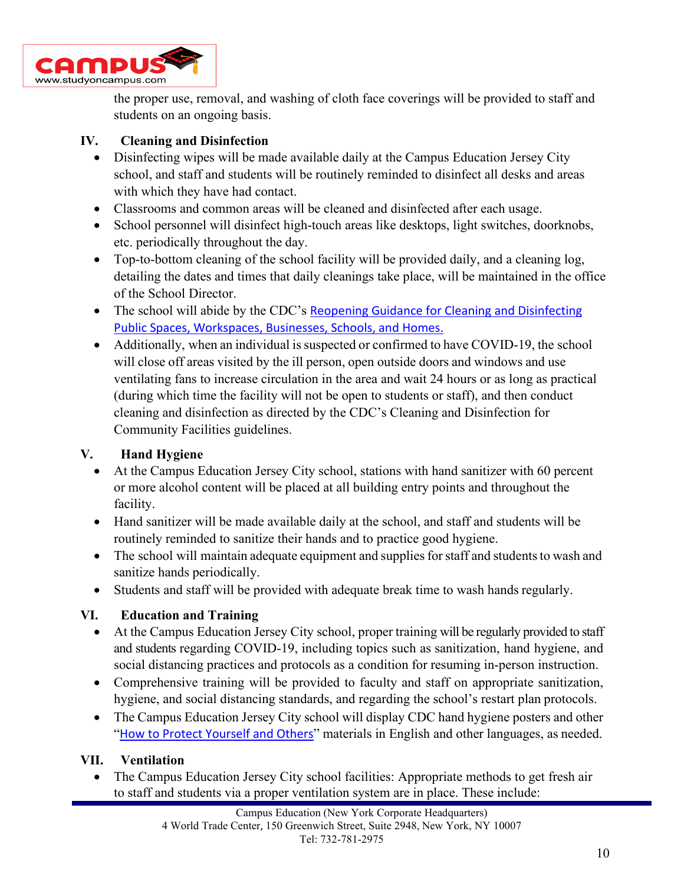

the proper use, removal, and washing of cloth face coverings will be provided to staff and students on an ongoing basis.

### **IV. Cleaning and Disinfection**

- Disinfecting wipes will be made available daily at the Campus Education Jersey City school, and staff and students will be routinely reminded to disinfect all desks and areas with which they have had contact.
- Classrooms and common areas will be cleaned and disinfected after each usage.
- School personnel will disinfect high-touch areas like desktops, light switches, doorknobs, etc. periodically throughout the day.
- Top-to-bottom cleaning of the school facility will be provided daily, and a cleaning log, detailing the dates and times that daily cleanings take place, will be maintained in the office of the School Director.
- The school will abide by the CDC's Reopening Guidance for Cleaning and Disinfecting [Public Spaces,](https://www.cdc.gov/coronavirus/2019-ncov/community/reopen-guidance.html) [Workspaces, Businesses, Schools, and Homes.](https://www.cdc.gov/coronavirus/2019-ncov/community/reopen-guidance.html)
- Additionally, when an individual is suspected or confirmed to have COVID-19, the school will close off areas visited by the ill person, open outside doors and windows and use ventilating fans to increase circulation in the area and wait 24 hours or as long as practical (during which time the facility will not be open to students or staff), and then conduct cleaning and disinfection as directed by the CDC's Cleaning and Disinfection for Community Facilities guidelines.

## **V. Hand Hygiene**

- At the Campus Education Jersey City school, stations with hand sanitizer with 60 percent or more alcohol content will be placed at all building entry points and throughout the facility.
- Hand sanitizer will be made available daily at the school, and staff and students will be routinely reminded to sanitize their hands and to practice good hygiene.
- The school will maintain adequate equipment and supplies for staff and students to wash and sanitize hands periodically.
- Students and staff will be provided with adequate break time to wash hands regularly.

## **VI. Education and Training**

- At the Campus Education Jersey City school, proper training will be regularly provided to staff and students regarding COVID-19, including topics such as sanitization, hand hygiene, and social distancing practices and protocols as a condition for resuming in-person instruction.
- Comprehensive training will be provided to faculty and staff on appropriate sanitization, hygiene, and social distancing standards, and regarding the school's restart plan protocols.
- The Campus Education Jersey City school will display CDC hand hygiene posters and other "[How to Protect Yourself and Others](https://www.cdc.gov/coronavirus/2019-ncov/prevent-getting-sick/prevention.html)" materials in English and other languages, as needed.

#### **VII. Ventilation**

• The Campus Education Jersey City school facilities: Appropriate methods to get fresh air to staff and students via a proper ventilation system are in place. These include: